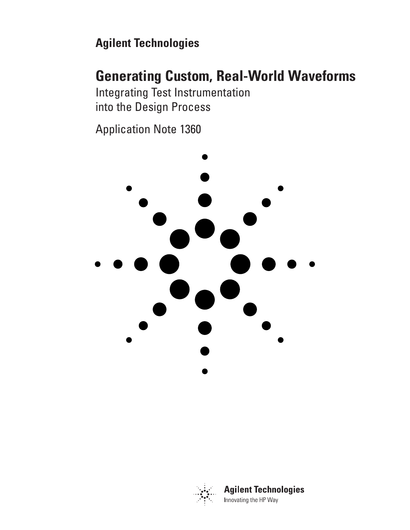# **Agilent Technologies**

# **Generating Custom, Real-World Waveforms**

Integrating Test Instrumentation into the Design Process

Application Note 1360





**Agilent Technologies** Innovating the HP Way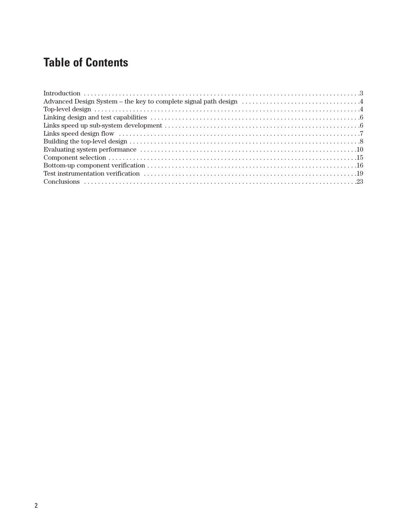# **Table of Contents**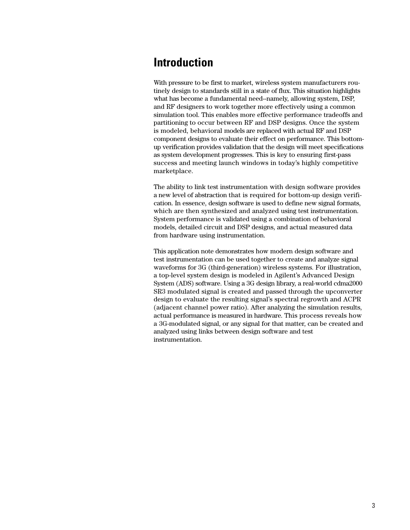### **Introduction**

With pressure to be first to market, wireless system manufacturers routinely design to standards still in a state of flux. This situation highlights what has become a fundamental need--namely, allowing system, DSP, and RF designers to work together more effectively using a common simulation tool. This enables more effective performance tradeoffs and partitioning to occur between RF and DSP designs. Once the system is modeled, behavioral models are replaced with actual RF and DSP component designs to evaluate their effect on performance. This bottomup verification provides validation that the design will meet specifications as system development progresses. This is key to ensuring first-pass success and meeting launch windows in today's highly competitive marketplace.

The ability to link test instrumentation with design software provides a new level of abstraction that is required for bottom-up design verification. In essence, design software is used to define new signal formats, which are then synthesized and analyzed using test instrumentation. System performance is validated using a combination of behavioral models, detailed circuit and DSP designs, and actual measured data from hardware using instrumentation.

This application note demonstrates how modern design software and test instrumentation can be used together to create and analyze signal waveforms for 3G (third-generation) wireless systems. For illustration, a top-level system design is modeled in Agilent's Advanced Design System (ADS) software. Using a 3G design library, a real-world cdma2000 SR3 modulated signal is created and passed through the upconverter design to evaluate the resulting signal's spectral regrowth and ACPR (adjacent channel power ratio). After analyzing the simulation results, actual performance is measured in hardware. This process reveals how a 3G-modulated signal, or any signal for that matter, can be created and analyzed using links between design software and test instrumentation.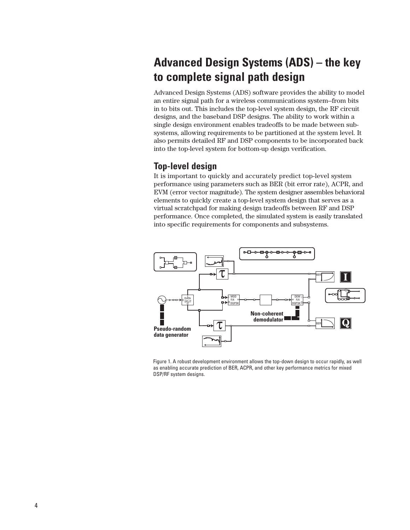# **Advanced Design Systems (ADS) – the key to complete signal path design**

Advanced Design Systems (ADS) software provides the ability to model an entire signal path for a wireless communications system--from bits in to bits out. This includes the top-level system design, the RF circuit designs, and the baseband DSP designs. The ability to work within a single design environment enables tradeoffs to be made between subsystems, allowing requirements to be partitioned at the system level. It also permits detailed RF and DSP components to be incorporated back into the top-level system for bottom-up design verification.

### **Top-level design**

It is important to quickly and accurately predict top-level system performance using parameters such as BER (bit error rate), ACPR, and EVM (error vector magnitude). The system designer assembles behavioral elements to quickly create a top-level system design that serves as a virtual scratchpad for making design tradeoffs between RF and DSP performance. Once completed, the simulated system is easily translated into specific requirements for components and subsystems.



Figure 1. A robust development environment allows the top-down design to occur rapidly, as well as enabling accurate prediction of BER, ACPR, and other key performance metrics for mixed DSP/RF system designs.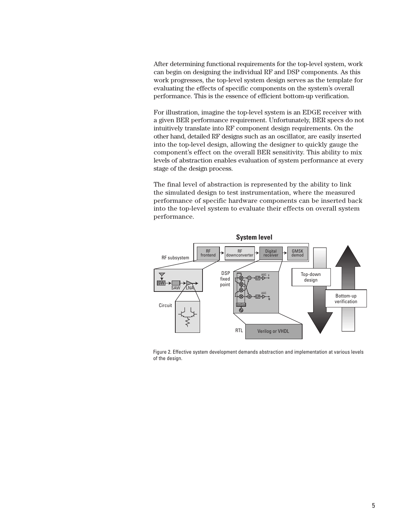After determining functional requirements for the top-level system, work can begin on designing the individual RF and DSP components. As this work progresses, the top-level system design serves as the template for evaluating the effects of specific components on the system's overall performance. This is the essence of efficient bottom-up verification.

For illustration, imagine the top-level system is an EDGE receiver with a given BER performance requirement. Unfortunately, BER specs do not intuitively translate into RF component design requirements. On the other hand, detailed RF designs such as an oscillator, are easily inserted into the top-level design, allowing the designer to quickly gauge the component's effect on the overall BER sensitivity. This ability to mix levels of abstraction enables evaluation of system performance at every stage of the design process.

The final level of abstraction is represented by the ability to link the simulated design to test instrumentation, where the measured performance of specific hardware components can be inserted back into the top-level system to evaluate their effects on overall system performance.



Figure 2. Effective system development demands abstraction and implementation at various levels of the design.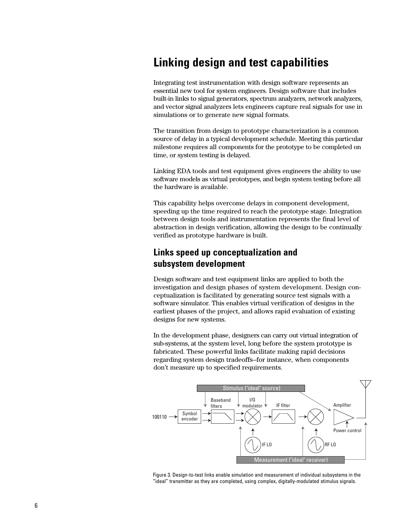## **Linking design and test capabilities**

Integrating test instrumentation with design software represents an essential new tool for system engineers. Design software that includes built-in links to signal generators, spectrum analyzers, network analyzers, and vector signal analyzers lets engineers capture real signals for use in simulations or to generate new signal formats.

The transition from design to prototype characterization is a common source of delay in a typical development schedule. Meeting this particular milestone requires all components for the prototype to be completed on time, or system testing is delayed.

Linking EDA tools and test equipment gives engineers the ability to use software models as virtual prototypes, and begin system testing before all the hardware is available.

This capability helps overcome delays in component development, speeding up the time required to reach the prototype stage. Integration between design tools and instrumentation represents the final level of abstraction in design verification, allowing the design to be continually verified as prototype hardware is built.

### **Links speed up conceptualization and subsystem development**

Design software and test equipment links are applied to both the investigation and design phases of system development. Design conceptualization is facilitated by generating source test signals with a software simulator. This enables virtual verification of designs in the earliest phases of the project, and allows rapid evaluation of existing designs for new systems.

In the development phase, designers can carry out virtual integration of sub-systems, at the system level, long before the system prototype is fabricated. These powerful links facilitate making rapid decisions regarding system design tradeoffs--for instance, when components don't measure up to specified requirements.



Figure 3. Design-to-test links enable simulation and measurement of individual subsystems in the "ideal" transmitter as they are completed, using complex, digitally-modulated stimulus signals.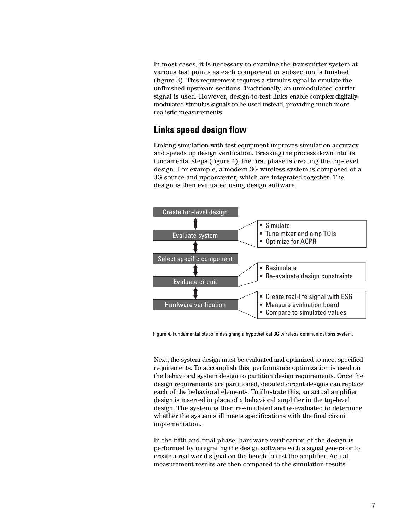In most cases, it is necessary to examine the transmitter system at various test points as each component or subsection is finished (figure 3). This requirement requires a stimulus signal to emulate the unfinished upstream sections. Traditionally, an unmodulated carrier signal is used. However, design-to-test links enable complex digitallymodulated stimulus signals to be used instead, providing much more realistic measurements.

### **Links speed design flow**

Linking simulation with test equipment improves simulation accuracy and speeds up design verification. Breaking the process down into its fundamental steps (figure 4), the first phase is creating the top-level design. For example, a modern 3G wireless system is composed of a 3G source and upconverter, which are integrated together. The design is then evaluated using design software.



Figure 4. Fundamental steps in designing a hypothetical 3G wireless communications system.

Next, the system design must be evaluated and optimized to meet specified requirements. To accomplish this, performance optimization is used on the behavioral system design to partition design requirements. Once the design requirements are partitioned, detailed circuit designs can replace each of the behavioral elements. To illustrate this, an actual amplifier design is inserted in place of a behavioral amplifier in the top-level design. The system is then re-simulated and re-evaluated to determine whether the system still meets specifications with the final circuit implementation.

In the fifth and final phase, hardware verification of the design is performed by integrating the design software with a signal generator to create a real world signal on the bench to test the amplifier. Actual measurement results are then compared to the simulation results.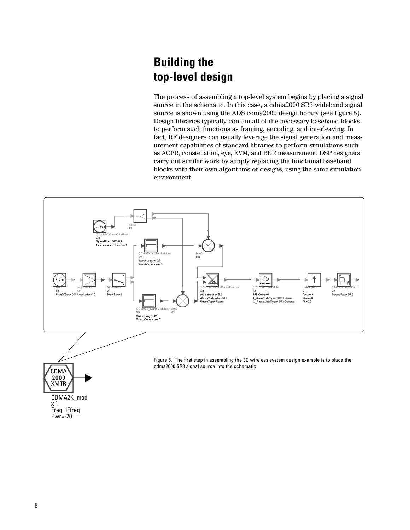# **Building the top-level design**

The process of assembling a top-level system begins by placing a signal source in the schematic. In this case, a cdma2000 SR3 wideband signal source is shown using the ADS cdma2000 design library (see figure 5). Design libraries typically contain all of the necessary baseband blocks to perform such functions as framing, encoding, and interleaving. In fact, RF designers can usually leverage the signal generation and measurement capabilities of standard libraries to perform simulations such as ACPR, constellation, eye, EVM, and BER measurement. DSP designers carry out similar work by simply replacing the functional baseband blocks with their own algorithms or designs, using the same simulation environment.

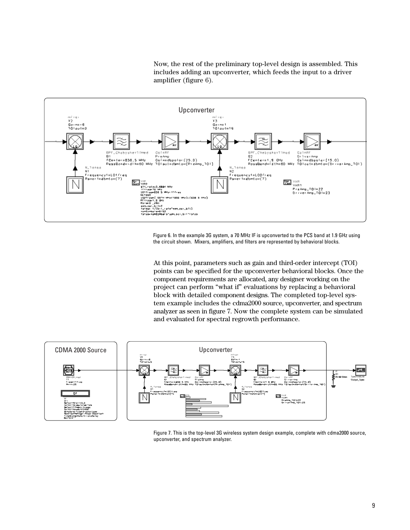Now, the rest of the preliminary top-level design is assembled. This includes adding an upconverter, which feeds the input to a driver amplifier (figure 6).



Figure 6. In the example 3G system, a 70 MHz IF is upconverted to the PCS band at 1.9 GHz using the circuit shown. Mixers, amplifiers, and filters are represented by behavioral blocks.

At this point, parameters such as gain and third-order intercept (TOI) points can be specified for the upconverter behavioral blocks. Once the component requirements are allocated, any designer working on the project can perform "what if" evaluations by replacing a behavioral block with detailed component designs. The completed top-level system example includes the cdma2000 source, upconverter, and spectrum analyzer as seen in figure 7. Now the complete system can be simulated and evaluated for spectral regrowth performance.



Figure 7. This is the top-level 3G wireless system design example, complete with cdma2000 source, upconverter, and spectrum analyzer.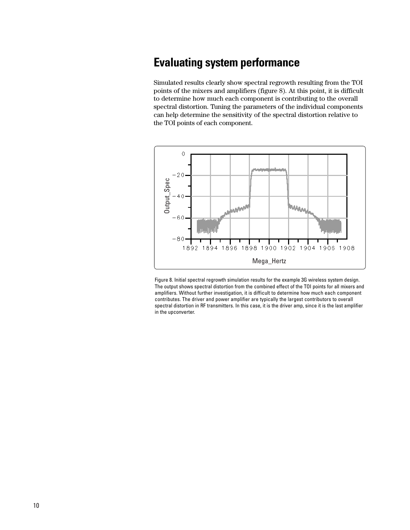## **Evaluating system performance**

Simulated results clearly show spectral regrowth resulting from the TOI points of the mixers and amplifiers (figure 8). At this point, it is difficult to determine how much each component is contributing to the overall spectral distortion. Tuning the parameters of the individual components can help determine the sensitivity of the spectral distortion relative to the TOI points of each component.



Figure 8. Initial spectral regrowth simulation results for the example 3G wireless system design. The output shows spectral distortion from the combined effect of the TOI points for all mixers and amplifiers. Without further investigation, it is difficult to determine how much each component contributes. The driver and power amplifier are typically the largest contributors to overall spectral distortion in RF transmitters. In this case, it is the driver amp, since it is the last amplifier in the upconverter.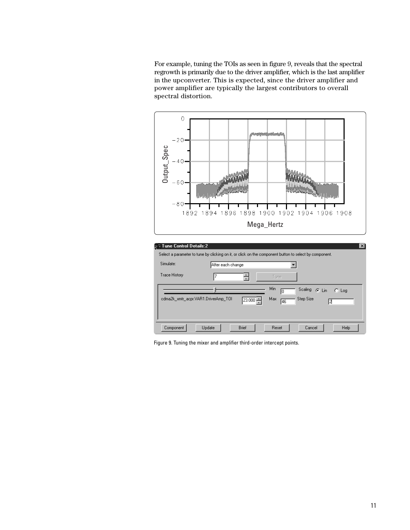For example, tuning the TOIs as seen in figure 9, reveals that the spectral regrowth is primarily due to the driver amplifier, which is the last amplifier in the upconverter. This is expected, since the driver amplifier and power amplifier are typically the largest contributors to overall spectral distortion.



| $\mathbb{R}^n$ Tune Control Details:2 $\mathbb{R}^n$                                                   |                   |            |           |                    | $\vert x \vert$ |
|--------------------------------------------------------------------------------------------------------|-------------------|------------|-----------|--------------------|-----------------|
| Select a parameter to tune by clicking on it, or click on the component button to select by component. |                   |            |           |                    |                 |
| Simulate:                                                                                              | After each change |            |           |                    |                 |
| <b>Trace History</b>                                                                                   |                   | ÷          | Tune.     |                    |                 |
|                                                                                                        |                   |            | Min<br>O  | Scaling<br>$G$ Lin | $C$ Log         |
| cdma2k_xmtr_acpr.VAR1.DriverAmp_T01                                                                    |                   | $23.000 -$ | Max<br>46 | Step Size          | 2               |
|                                                                                                        |                   |            |           |                    |                 |
| Component                                                                                              | Update            | Brief      | Reset     | Cancel             | Help            |

Figure 9. Tuning the mixer and amplifier third-order intercept points.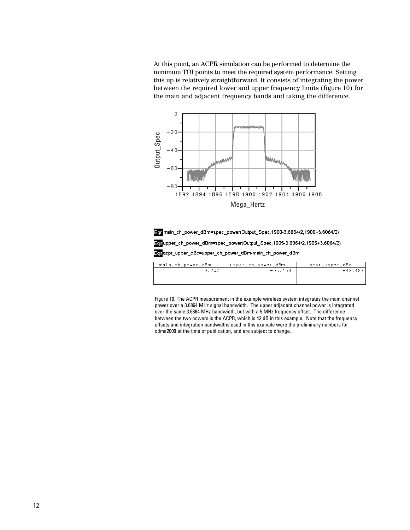At this point, an ACPR simulation can be performed to determine the minimum TOI points to meet the required system performance. Setting this up is relatively straightforward. It consists of integrating the power between the required lower and upper frequency limits (figure 10) for the main and adjacent frequency bands and taking the difference.





| main_ch_power_dBm | upper_ch_power_dBm | ocpr_upper_dBc |
|-------------------|--------------------|----------------|
| 9.267             | $-33.159$          | $-42.42$       |
|                   |                    |                |
|                   |                    |                |
|                   |                    |                |

Figure 10. The ACPR measurement in the example wireless system integrates the main channel power over a 3.6864 MHz signal bandwidth. The upper adjacent channel power is integrated over the same 3.6864 MHz bandwidth, but with a 5 MHz frequency offset. The difference between the two powers is the ACPR, which is 42 dB in this example. Note that the frequency offsets and integration bandwidths used in this example were the preliminary numbers for cdma2000 at the time of publication, and are subject to change.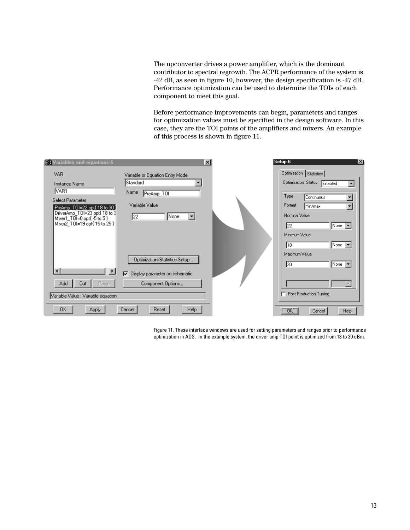The upconverter drives a power amplifier, which is the dominant contributor to spectral regrowth. The ACPR performance of the system is -42 dB, as seen in figure 10, however, the design specification is -47 dB. Performance optimization can be used to determine the TOIs of each component to meet this goal.

Before performance improvements can begin, parameters and ranges for optimization values must be specified in the design software. In this case, they are the TOI points of the amplifiers and mixers. An example of this process is shown in figure 11.

| <b>MA Variables and equations:6</b>                          | $\vert x \vert$                      | Setup:6<br>∣×I                            |
|--------------------------------------------------------------|--------------------------------------|-------------------------------------------|
| <b>VAR</b>                                                   | Variable or Equation Entry Mode      | Optimization   Statistics                 |
| Instance Name                                                | Standard                             | Optimization Status<br>Enabled<br>▼       |
| VAR1                                                         | Name<br>PreAmp_TOI                   | Type                                      |
| Select Parameter                                             |                                      | Continuous<br>$\blacktriangledown$        |
| PreAmp_T0I=22 opt{ 18 to 30 ]                                | Variable Value                       | Format<br>min/max<br>$\blacktriangledown$ |
| DriverAmp_TOI=23 opt{ 18 to 3<br>Mixer1_TOI=0 opt{ -5 to 5 } | $\blacktriangledown$<br>None<br>22   | Nominal Value                             |
| Mixer2_TOI=19 opt{ 15 to 25 }                                |                                      | $\sqrt{N}$ one $\sqrt{N}$<br>122          |
|                                                              |                                      | Minimum Value                             |
|                                                              |                                      | None $\vert \mathbf{v} \vert$<br>118      |
|                                                              |                                      | Maximum Value                             |
|                                                              | Optimization/Statistics Setup        |                                           |
|                                                              |                                      | None $\blacktriangledown$<br>130          |
| $\blacktriangleright$                                        | ঢ়<br>Display parameter on schematic |                                           |
| Add<br>Cut<br>Paste                                          | Component Options                    |                                           |
| Variable Value : Variable equation                           |                                      | Post Production Tuning<br>┍               |
|                                                              |                                      |                                           |
| <b>OK</b><br>Apply                                           | Cancel<br>Reset<br>Help              | ¨öΚ¨<br>Help<br>Cancel                    |

Figure 11. These interface windows are used for setting parameters and ranges prior to performance optimization in ADS. In the example system, the driver amp TOI point is optimized from 18 to 30 dBm.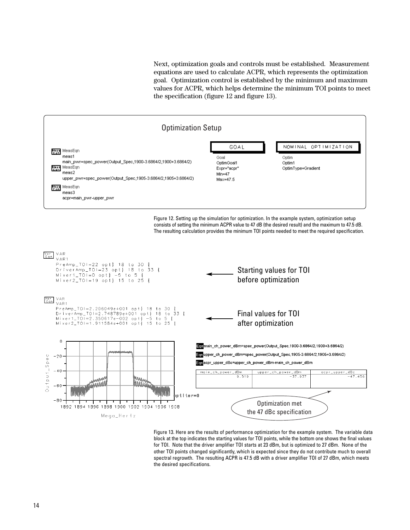Next, optimization goals and controls must be established. Measurement equations are used to calculate ACPR, which represents the optimization goal. Optimization control is established by the minimum and maximum values for ACPR, which helps determine the minimum TOI points to meet the specification (figure 12 and figure 13).



Figure 12. Setting up the simulation for optimization. In the example system, optimization setup consists of setting the minimum ACPR value to 47 dB (the desired result) and the maximum to 47.5 dB. The resulting calculation provides the minimum TOI points needed to meet the required specification.



Figure 13. Here are the results of performance optimization for the example system. The variable data block at the top indicates the starting values for TOI points, while the bottom one shows the final values for TOI. Note that the driver amplifier TOI starts at 23 dBm, but is optimized to 27 dBm. None of the other TOI points changed significantly, which is expected since they do not contribute much to overall spectral regrowth. The resulting ACPR is 47.5 dB with a driver amplifier TOI of 27 dBm, which meets the desired specifications.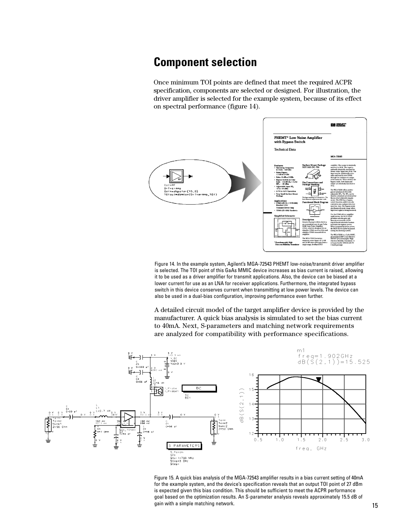### **Component selection**

Once minimum TOI points are defined that meet the required ACPR specification, components are selected or designed. For illustration, the driver amplifier is selected for the example system, because of its effect on spectral performance (figure 14).



Figure 14. In the example system, Agilent's MGA-72543 PHEMT low-noise/transmit driver amplifier is selected. The TOI point of this GaAs MMIC device increases as bias current is raised, allowing it to be used as a driver amplifier for transmit applications. Also, the device can be biased at a lower current for use as an LNA for receiver applications. Furthermore, the integrated bypass switch in this device conserves current when transmitting at low power levels. The device can also be used in a dual-bias configuration, improving performance even further.

A detailed circuit model of the target amplifier device is provided by the manufacturer. A quick bias analysis is simulated to set the bias current to 40mA. Next, S-parameters and matching network requirements are analyzed for compatibility with performance specifications.



Figure 15. A quick bias analysis of the MGA-72543 amplifier results in a bias current setting of 40mA for the example system, and the device's specification reveals that an output TOI point of 27 dBm is expected given this bias condition. This should be sufficient to meet the ACPR performance goal based on the optimization results. An S-parameter analysis reveals approximately 15.5 dB of gain with a simple matching network.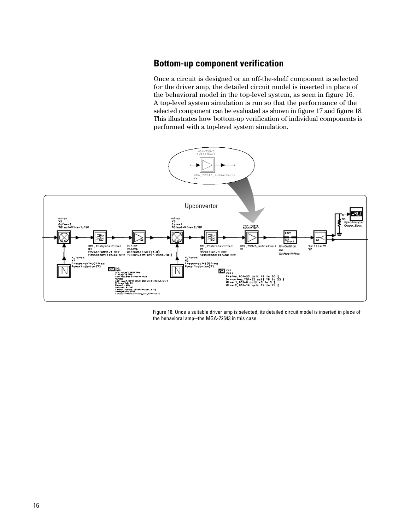### **Bottom-up component verification**

Once a circuit is designed or an off-the-shelf component is selected for the driver amp, the detailed circuit model is inserted in place of the behavioral model in the top-level system, as seen in figure 16. A top-level system simulation is run so that the performance of the selected component can be evaluated as shown in figure 17 and figure 18. This illustrates how bottom-up verification of individual components is performed with a top-level system simulation.



Figure 16. Once a suitable driver amp is selected, its detailed circuit model is inserted in place of the behavioral amp--the MGA-72543 in this case.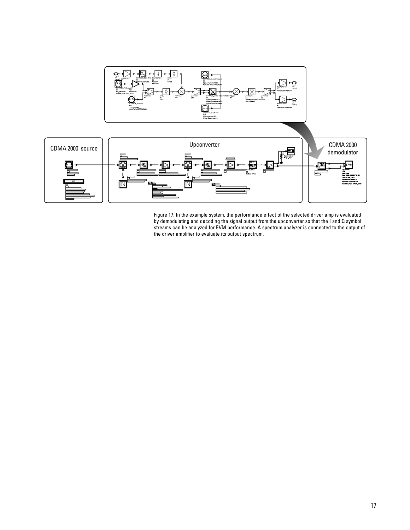

Figure 17. In the example system, the performance effect of the selected driver amp is evaluated by demodulating and decoding the signal output from the upconverter so that the I and Q symbol streams can be analyzed for EVM performance. A spectrum analyzer is connected to the output of the driver amplifier to evaluate its output spectrum.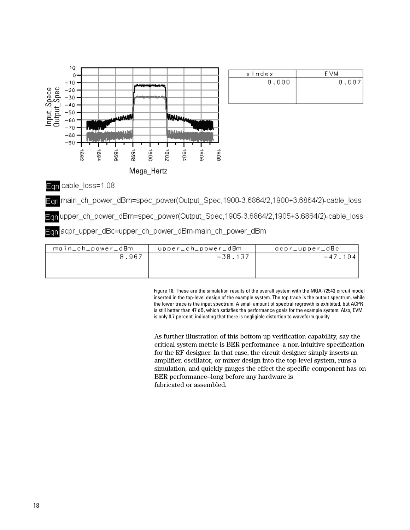

| xindex | e vm  |
|--------|-------|
| 0.000  | 0,007 |
|        |       |
|        |       |

Egn cable\_loss=1.08

main ch power dBm=spec power(Output Spec,1900-3.6864/2,1900+3.6864/2)-cable loss

Ean upper\_ch\_power\_dBm=spec\_power(Output\_Spec,1905-3.6864/2,1905+3.6864/2)-cable\_loss

Ech acpr\_upper\_dBc=upper\_ch\_power\_dBm-main\_ch\_power\_dBm

| main_ch_power_dBm | upper_ch_power_dBm | acpr_upper_dBc |
|-------------------|--------------------|----------------|
| 8,967             | $-38,137$          | $-47.104$      |
|                   |                    |                |
|                   |                    |                |

Figure 18. These are the simulation results of the overall system with the MGA-72543 circuit model inserted in the top-level design of the example system. The top trace is the output spectrum, while the lower trace is the input spectrum. A small amount of spectral regrowth is exhibited, but ACPR is still better than 47 dB, which satisfies the performance goals for the example system. Also, EVM is only 0.7 percent, indicating that there is negligible distortion to waveform quality.

As further illustration of this bottom-up verification capability, say the critical system metric is BER performance–a non-intuitive specification for the RF designer. In that case, the circuit designer simply inserts an amplifier, oscillator, or mixer design into the top-level system, runs a simulation, and quickly gauges the effect the specific component has on BER performance--long before any hardware is fabricated or assembled.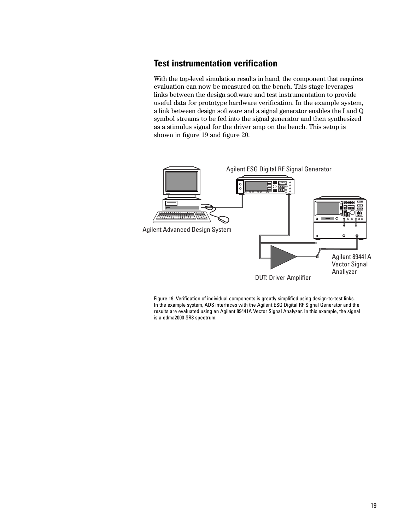### **Test instrumentation verification**

With the top-level simulation results in hand, the component that requires evaluation can now be measured on the bench. This stage leverages links between the design software and test instrumentation to provide useful data for prototype hardware verification. In the example system, a link between design software and a signal generator enables the I and Q symbol streams to be fed into the signal generator and then synthesized as a stimulus signal for the driver amp on the bench. This setup is shown in figure 19 and figure 20.



Figure 19. Verification of individual components is greatly simplified using design-to-test links. In the example system, ADS interfaces with the Agilent ESG Digital RF Signal Generator and the results are evaluated using an Agilent 89441A Vector Signal Analyzer. In this example, the signal is a cdma2000 SR3 spectrum.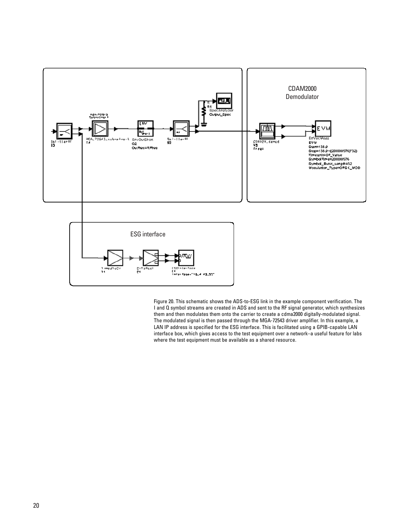

Figure 20. This schematic shows the ADS-to-ESG link in the example component verification. The I and Q symbol streams are created in ADS and sent to the RF signal generator, which synthesizes them and then modulates them onto the carrier to create a cdma2000 digitally-modulated signal. The modulated signal is then passed through the MGA-72543 driver amplifier. In this example, a LAN IP address is specified for the ESG interface. This is facilitated using a GPIB-capable LAN interface box, which gives access to the test equipment over a network–a useful feature for labs where the test equipment must be available as a shared resource.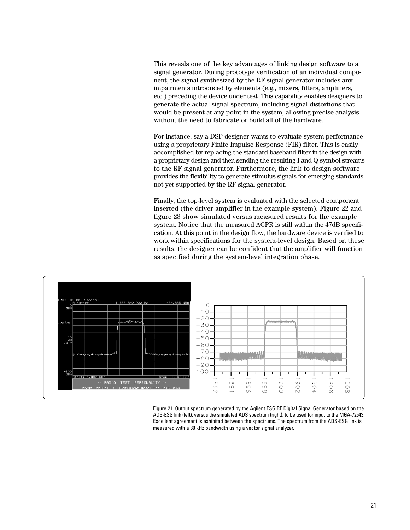This reveals one of the key advantages of linking design software to a signal generator. During prototype verification of an individual component, the signal synthesized by the RF signal generator includes any impairments introduced by elements (e.g., mixers, filters, amplifiers, etc.) preceding the device under test. This capability enables designers to generate the actual signal spectrum, including signal distortions that would be present at any point in the system, allowing precise analysis without the need to fabricate or build all of the hardware.

For instance, say a DSP designer wants to evaluate system performance using a proprietary Finite Impulse Response (FIR) filter. This is easily accomplished by replacing the standard baseband filter in the design with a proprietary design and then sending the resulting I and Q symbol streams to the RF signal generator. Furthermore, the link to design software provides the flexibility to generate stimulus signals for emerging standards not yet supported by the RF signal generator.

Finally, the top-level system is evaluated with the selected component inserted (the driver amplifier in the example system). Figure 22 and figure 23 show simulated versus measured results for the example system. Notice that the measured ACPR is still within the 47dB specification. At this point in the design flow, the hardware device is verified to work within specifications for the system-level design. Based on these results, the designer can be confident that the amplifier will function as specified during the system-level integration phase.



Figure 21. Output spectrum generated by the Agilent ESG RF Digital Signal Generator based on the ADS-ESG link (left), versus the simulated ADS spectrum (right), to be used for input to the MGA-72543. Excellent agreement is exhibited between the spectrums. The spectrum from the ADS-ESG link is measured with a 30 kHz bandwidth using a vector signal analyzer.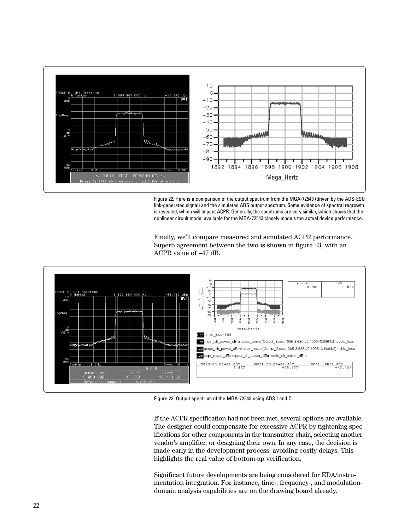

Figure 22. Here is a comparison of the output spectrum from the MGA-72543 (driven by the ADS-ESG link-generated signal) and the simulated ADS output spectrum. Some evidence of spectral regrowth is revealed, which will impact ACPR. Generally, the spectrums are very similar, which shows that the nonlinear circuit model available for the MGA-72543 closely models the actual device performance.





Figure 23. Output spectrum of the MGA-72543 using ADS I and Q.

If the ACPR specification had not been met, several options are available. The designer could compensate for excessive ACPR by tightening specifications for other components in the transmitter chain, selecting another vendor's amplifier, or designing their own. In any case, the decision is made early in the development process, avoiding costly delays. This highlights the real value of bottom-up verification.

Significant future developments are being considered for EDA/instrumentation integration. For instance, time-, frequency-, and modulationdomain analysis capabilities are on the drawing board already.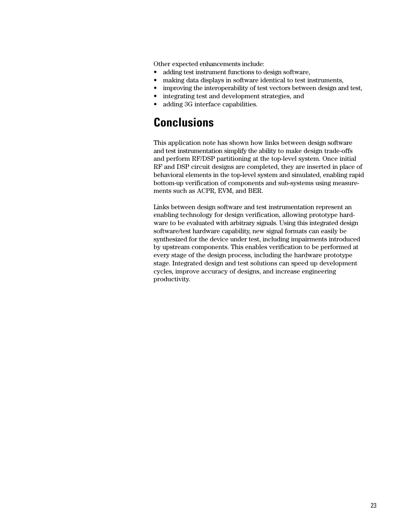Other expected enhancements include:

- adding test instrument functions to design software,
- making data displays in software identical to test instruments,
- improving the interoperability of test vectors between design and test,
- integrating test and development strategies, and
- adding 3G interface capabilities.

### **Conclusions**

This application note has shown how links between design software and test instrumentation simplify the ability to make design trade-offs and perform RF/DSP partitioning at the top-level system. Once initial RF and DSP circuit designs are completed, they are inserted in place of behavioral elements in the top-level system and simulated, enabling rapid bottom-up verification of components and sub-systems using measurements such as ACPR, EVM, and BER.

Links between design software and test instrumentation represent an enabling technology for design verification, allowing prototype hardware to be evaluated with arbitrary signals. Using this integrated design software/test hardware capability, new signal formats can easily be synthesized for the device under test, including impairments introduced by upstream components. This enables verification to be performed at every stage of the design process, including the hardware prototype stage. Integrated design and test solutions can speed up development cycles, improve accuracy of designs, and increase engineering productivity.